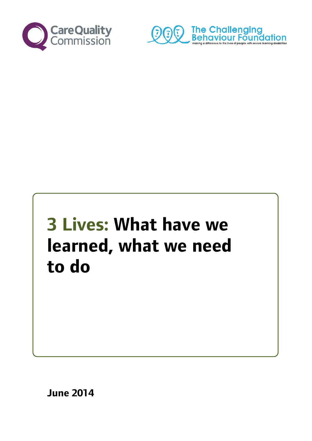

 $\ddot{\phantom{0}}$ 



# **3 Lives: What have we learned, what we need to do**

<span id="page-0-0"></span>**June 2014**

Ī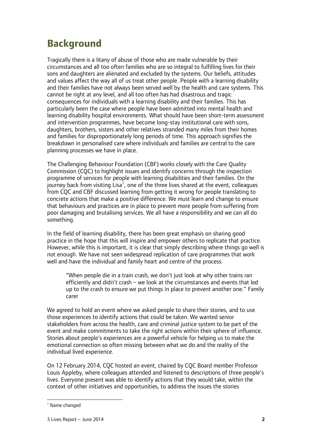# **Background**

Tragically there is a litany of abuse of those who are made vulnerable by their circumstances and all too often families who are so integral to fulfilling lives for their sons and daughters are alienated and excluded by the systems. Our beliefs, attitudes and values affect the way all of us treat other people. People with a learning disability and their families have not always been served well by the health and care systems. This cannot be right at any level, and all too often has had disastrous and tragic consequences for individuals with a learning disability and their families. This has particularly been the case where people have been admitted into mental health and learning disability hospital environments. What should have been short-term assessment and intervention programmes, have become long-stay institutional care with sons, daughters, brothers, sisters and other relatives stranded many miles from their homes and families for disproportionately long periods of time. This approach signifies the breakdown in personalised care where individuals and families are central to the care planning processes we have in place.

The Challenging Behaviour Foundation (CBF) works closely with the Care Quality Commission (CQC) to highlight issues and identify concerns through the inspection programme of services for people with learning disabilities and their families. On the journey back from visiting Lisa<sup>[1](#page-0-0)</sup>, one of the three lives shared at the event, colleagues from CQC and CBF discussed learning from getting it wrong for people translating to concrete actions that make a positive difference. We must learn and change to ensure that behaviours and practices are in place to prevent more people from suffering from poor damaging and brutalising services. We all have a responsibility and we can all do something.

In the field of learning disability, there has been great emphasis on sharing good practice in the hope that this will inspire and empower others to replicate that practice. However, while this is important, it is clear that simply describing where things go well is not enough. We have not seen widespread replication of care programmes that work well and have the individual and family heart and centre of the process.

"When people die in a train crash, we don't just look at why other trains ran efficiently and didn't crash – we look at the circumstances and events that led up to the crash to ensure we put things in place to prevent another one." Family carer

We agreed to hold an event where we asked people to share their stories, and to use those experiences to identify actions that could be taken. We wanted senior stakeholders from across the health, care and criminal justice system to be part of the event and make commitments to take the right actions within their sphere of influence. Stories about people's experiences are a powerful vehicle for helping us to make the emotional connection so often missing between what we do and the reality of the individual lived experience.

On 12 February 2014, CQC hosted an event, chaired by CQC Board member Professor Louis Appleby, where colleagues attended and listened to descriptions of three people's lives. Everyone present was able to identify actions that they would take, within the context of other initiatives and opportunities, to address the issues the stories

<sup>&</sup>lt;sup>1</sup> Name changed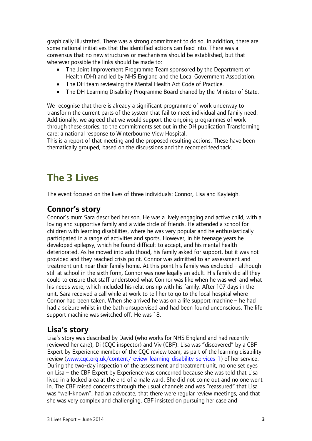graphically illustrated. There was a strong commitment to do so. In addition, there are some national initiatives that the identified actions can feed into. There was a consensus that no new structures or mechanisms should be established, but that wherever possible the links should be made to:

- The Joint Improvement Programme Team sponsored by the Department of Health (DH) and led by NHS England and the Local Government Association.
- The DH team reviewing the Mental Health Act Code of Practice.
- The DH Learning Disability Programme Board chaired by the Minister of State.

We recognise that there is already a significant programme of work underway to transform the current parts of the system that fail to meet individual and family need. Additionally, we agreed that we would support the ongoing programmes of work through these stories, to the commitments set out in the DH publication Transforming care: a national response to Winterbourne View Hospital.

This is a report of that meeting and the proposed resulting actions. These have been thematically grouped, based on the discussions and the recorded feedback.

## **The 3 Lives**

The event focused on the lives of three individuals: Connor, Lisa and Kayleigh.

#### **Connor's story**

Connor's mum Sara described her son. He was a lively engaging and active child, with a loving and supportive family and a wide circle of friends. He attended a school for children with learning disabilities, where he was very popular and he enthusiastically participated in a range of activities and sports. However, in his teenage years he developed epilepsy, which he found difficult to accept, and his mental health deteriorated. As he moved into adulthood, his family asked for support, but it was not provided and they reached crisis point. Connor was admitted to an assessment and treatment unit near their family home. At this point his family was excluded – although still at school in the sixth form, Connor was now legally an adult. His family did all they could to ensure that staff understood what Connor was like when he was well and what his needs were, which included his relationship with his family. After 107 days in the unit, Sara received a call while at work to tell her to go to the local hospital where Connor had been taken. When she arrived he was on a life support machine – he had had a seizure whilst in the bath unsupervised and had been found unconscious. The life support machine was switched off. He was 18.

#### **Lisa's story**

Lisa's story was described by David (who works for NHS England and had recently reviewed her care), Di (CQC inspector) and Viv (CBF). Lisa was "discovered" by a CBF Expert by Experience member of the CQC review team, as part of the learning disability review [\(www.cqc.org.uk/content/review-learning-disability-services-1\)](http://www.cqc.org.uk/content/review-learning-disability-services-1) of her service. During the two-day inspection of the assessment and treatment unit, no one set eyes on Lisa – the CBF Expert by Experience was concerned because she was told that Lisa lived in a locked area at the end of a male ward. She did not come out and no one went in. The CBF raised concerns through the usual channels and was "reassured" that Lisa was "well-known", had an advocate, that there were regular review meetings, and that she was very complex and challenging. CBF insisted on pursuing her case and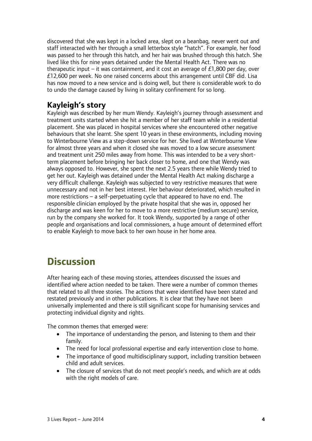discovered that she was kept in a locked area, slept on a beanbag, never went out and staff interacted with her through a small letterbox style "hatch". For example, her food was passed to her through this hatch, and her hair was brushed through this hatch. She lived like this for nine years detained under the Mental Health Act. There was no therapeutic input – it was containment, and it cost an average of  $\pounds$ 1,800 per day, over £12,600 per week. No one raised concerns about this arrangement until CBF did. Lisa has now moved to a new service and is doing well, but there is considerable work to do to undo the damage caused by living in solitary confinement for so long.

#### **Kayleigh's story**

Kayleigh was described by her mum Wendy. Kayleigh's journey through assessment and treatment units started when she hit a member of her staff team while in a residential placement. She was placed in hospital services where she encountered other negative behaviours that she learnt. She spent 10 years in these environments, including moving to Winterbourne View as a step-down service for her. She lived at Winterbourne View for almost three years and when it closed she was moved to a low secure assessment and treatment unit 250 miles away from home. This was intended to be a very shortterm placement before bringing her back closer to home, and one that Wendy was always opposed to. However, she spent the next 2.5 years there while Wendy tried to get her out. Kayleigh was detained under the Mental Health Act making discharge a very difficult challenge. Kayleigh was subjected to very restrictive measures that were unnecessary and not in her best interest. Her behaviour deteriorated, which resulted in more restrictions – a self-perpetuating cycle that appeared to have no end. The responsible clinician employed by the private hospital that she was in, opposed her discharge and was keen for her to move to a more restrictive (medium secure) service, run by the company she worked for. It took Wendy, supported by a range of other people and organisations and local commissioners, a huge amount of determined effort to enable Kayleigh to move back to her own house in her home area.

# **Discussion**

After hearing each of these moving stories, attendees discussed the issues and identified where action needed to be taken. There were a number of common themes that related to all three stories. The actions that were identified have been stated and restated previously and in other publications. It is clear that they have not been universally implemented and there is still significant scope for humanising services and protecting individual dignity and rights.

The common themes that emerged were:

- The importance of understanding the person, and listening to them and their family.
- The need for local professional expertise and early intervention close to home.
- The importance of good multidisciplinary support, including transition between child and adult services.
- The closure of services that do not meet people's needs, and which are at odds with the right models of care.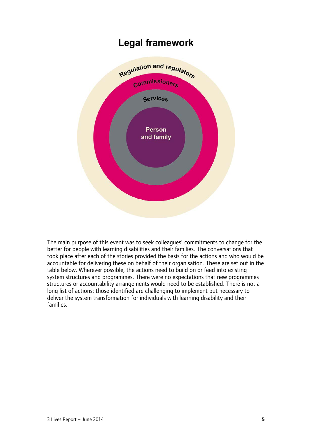

The main purpose of this event was to seek colleagues' commitments to change for the better for people with learning disabilities and their families. The conversations that took place after each of the stories provided the basis for the actions and who would be accountable for delivering these on behalf of their organisation. These are set out in the table below. Wherever possible, the actions need to build on or feed into existing system structures and programmes. There were no expectations that new programmes structures or accountability arrangements would need to be established. There is not a long list of actions: those identified are challenging to implement but necessary to deliver the system transformation for individuals with learning disability and their families.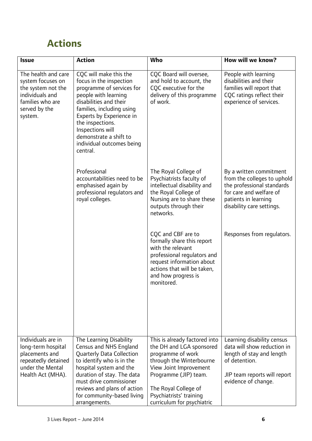# **Actions**

| <b>Issue</b>                                                                                                                      | <b>Action</b>                                                                                                                                                                                                                                                                                        | Who                                                                                                                                                                                                                                            | How will we know?                                                                                                                                                    |
|-----------------------------------------------------------------------------------------------------------------------------------|------------------------------------------------------------------------------------------------------------------------------------------------------------------------------------------------------------------------------------------------------------------------------------------------------|------------------------------------------------------------------------------------------------------------------------------------------------------------------------------------------------------------------------------------------------|----------------------------------------------------------------------------------------------------------------------------------------------------------------------|
| The health and care<br>system focuses on<br>the system not the<br>individuals and<br>families who are<br>served by the<br>system. | COC will make this the<br>focus in the inspection<br>programme of services for<br>people with learning<br>disabilities and their<br>families, including using<br>Experts by Experience in<br>the inspections.<br>Inspections will<br>demonstrate a shift to<br>individual outcomes being<br>central. | CQC Board will oversee,<br>and hold to account, the<br>COC executive for the<br>delivery of this programme<br>of work.                                                                                                                         | People with learning<br>disabilities and their<br>families will report that<br>CQC ratings reflect their<br>experience of services.                                  |
|                                                                                                                                   | Professional<br>accountabilities need to be<br>emphasised again by<br>professional regulators and<br>royal colleges.                                                                                                                                                                                 | The Royal College of<br>Psychiatrists faculty of<br>intellectual disability and<br>the Royal College of<br>Nursing are to share these<br>outputs through their<br>networks.                                                                    | By a written commitment<br>from the colleges to uphold<br>the professional standards<br>for care and welfare of<br>patients in learning<br>disability care settings. |
|                                                                                                                                   |                                                                                                                                                                                                                                                                                                      | CQC and CBF are to<br>formally share this report<br>with the relevant<br>professional regulators and<br>request information about<br>actions that will be taken,<br>and how progress is<br>monitored.                                          | Responses from regulators.                                                                                                                                           |
| Individuals are in<br>long-term hospital<br>placements and<br>repeatedly detained<br>under the Mental<br>Health Act (MHA).        | The Learning Disability<br>Census and NHS England<br>Quarterly Data Collection<br>to identify who is in the<br>hospital system and the<br>duration of stay. The data<br>must drive commissioner<br>reviews and plans of action<br>for community-based living<br>arrangements.                        | This is already factored into<br>the DH and LGA sponsored<br>programme of work<br>through the Winterbourne<br>View Joint Improvement<br>Programme (JIP) team.<br>The Royal College of<br>Psychiatrists' training<br>curriculum for psychiatric | Learning disability census<br>data will show reduction in<br>length of stay and length<br>of detention.<br>JIP team reports will report<br>evidence of change.       |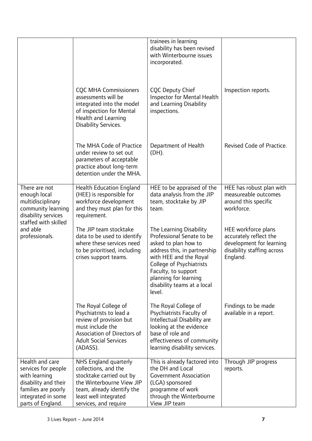|                                                                                                                                                   |                                                                                                                                                                                        | trainees in learning<br>disability has been revised<br>with Winterbourne issues<br>incorporated.                                                                                                                                                            |                                                                                                                     |
|---------------------------------------------------------------------------------------------------------------------------------------------------|----------------------------------------------------------------------------------------------------------------------------------------------------------------------------------------|-------------------------------------------------------------------------------------------------------------------------------------------------------------------------------------------------------------------------------------------------------------|---------------------------------------------------------------------------------------------------------------------|
|                                                                                                                                                   | <b>CQC MHA Commissioners</b><br>assessments will be<br>integrated into the model<br>of inspection for Mental<br>Health and Learning<br>Disability Services.                            | <b>CQC Deputy Chief</b><br>Inspector for Mental Health<br>and Learning Disability<br>inspections.                                                                                                                                                           | Inspection reports.                                                                                                 |
|                                                                                                                                                   | The MHA Code of Practice<br>under review to set out<br>parameters of acceptable<br>practice about long-term<br>detention under the MHA.                                                | Department of Health<br>(DH).                                                                                                                                                                                                                               | Revised Code of Practice.                                                                                           |
| There are not<br>enough local<br>multidisciplinary<br>community learning<br>disability services<br>staffed with skilled                           | <b>Health Education England</b><br>(HEE) is responsible for<br>workforce development<br>and they must plan for this<br>requirement.                                                    | HEE to be appraised of the<br>data analysis from the JIP<br>team, stocktake by JIP<br>team.                                                                                                                                                                 | HEE has robust plan with<br>measureable outcomes<br>around this specific<br>workforce.                              |
| and able<br>professionals.                                                                                                                        | The JIP team stocktake<br>data to be used to identify<br>where these services need<br>to be prioritised, including<br>crises support teams.                                            | The Learning Disability<br>Professional Senate to be<br>asked to plan how to<br>address this, in partnership<br>with HEE and the Royal<br>College of Psychiatrists<br>Faculty, to support<br>planning for learning<br>disability teams at a local<br>level. | HEE workforce plans<br>accurately reflect the<br>development for learning<br>disability staffing across<br>England. |
|                                                                                                                                                   | The Royal College of<br>Psychiatrists to lead a<br>review of provision but<br>must include the<br>Association of Directors of<br><b>Adult Social Services</b><br>(ADASS).              | The Royal College of<br>Psychiatrists Faculty of<br>Intellectual Disability are<br>looking at the evidence<br>base of role and<br>effectiveness of community<br>learning disability services.                                                               | Findings to be made<br>available in a report.                                                                       |
| Health and care<br>services for people<br>with learning<br>disability and their<br>families are poorly<br>integrated in some<br>parts of England. | NHS England quarterly<br>collections, and the<br>stocktake carried out by<br>the Winterbourne View JIP<br>team, already identify the<br>least well integrated<br>services, and require | This is already factored into<br>the DH and Local<br><b>Government Association</b><br>(LGA) sponsored<br>programme of work<br>through the Winterbourne<br>View JIP team                                                                                     | Through JIP progress<br>reports.                                                                                    |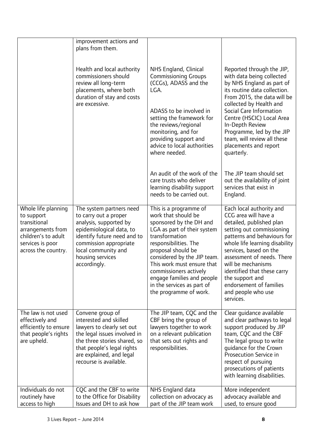|                                                                                                                                          | improvement actions and<br>plans from them.                                                                                                                                                                                  |                                                                                                                                                                                                                                                                                                                                                       |                                                                                                                                                                                                                                                                                                                                                                          |
|------------------------------------------------------------------------------------------------------------------------------------------|------------------------------------------------------------------------------------------------------------------------------------------------------------------------------------------------------------------------------|-------------------------------------------------------------------------------------------------------------------------------------------------------------------------------------------------------------------------------------------------------------------------------------------------------------------------------------------------------|--------------------------------------------------------------------------------------------------------------------------------------------------------------------------------------------------------------------------------------------------------------------------------------------------------------------------------------------------------------------------|
|                                                                                                                                          | Health and local authority<br>commissioners should<br>review all long-term<br>placements, where both<br>duration of stay and costs<br>are excessive.                                                                         | NHS England, Clinical<br><b>Commissioning Groups</b><br>(CCGs), ADASS and the<br>LGA.<br>ADASS to be involved in<br>setting the framework for<br>the reviews/regional<br>monitoring, and for<br>providing support and<br>advice to local authorities<br>where needed.                                                                                 | Reported through the JIP,<br>with data being collected<br>by NHS England as part of<br>its routine data collection.<br>From 2015, the data will be<br>collected by Health and<br>Social Care Information<br>Centre (HSCIC) Local Area<br>In-Depth Review<br>Programme, led by the JIP<br>team, will review all these<br>placements and report<br>quarterly.              |
|                                                                                                                                          |                                                                                                                                                                                                                              | An audit of the work of the<br>care trusts who deliver<br>learning disability support<br>needs to be carried out.                                                                                                                                                                                                                                     | The JIP team should set<br>out the availability of joint<br>services that exist in<br>England.                                                                                                                                                                                                                                                                           |
| Whole life planning<br>to support<br>transitional<br>arrangements from<br>children's to adult<br>services is poor<br>across the country. | The system partners need<br>to carry out a proper<br>analysis, supported by<br>epidemiological data, to<br>identify future need and to<br>commission appropriate<br>local community and<br>housing services<br>accordingly.  | This is a programme of<br>work that should be<br>sponsored by the DH and<br>LGA as part of their system<br>transformation<br>responsibilities. The<br>proposal should be<br>considered by the JIP team.<br>This work must ensure that<br>commissioners actively<br>engage families and people<br>in the services as part of<br>the programme of work. | Each local authority and<br>CCG area will have a<br>detailed, published plan<br>setting out commissioning<br>patterns and behaviours for<br>whole life learning disability<br>services, based on the<br>assessment of needs. There<br>will be mechanisms<br>identified that these carry<br>the support and<br>endorsement of families<br>and people who use<br>services. |
| The law is not used<br>effectively and<br>efficiently to ensure<br>that people's rights<br>are upheld.                                   | Convene group of<br>interested and skilled<br>lawyers to clearly set out<br>the legal issues involved in<br>the three stories shared, so<br>that people's legal rights<br>are explained, and legal<br>recourse is available. | The JIP team, CQC and the<br>CBF bring the group of<br>lawyers together to work<br>on a relevant publication<br>that sets out rights and<br>responsibilities.                                                                                                                                                                                         | Clear guidance available<br>and clear pathways to legal<br>support produced by JIP<br>team, CQC and the CBF<br>The legal group to write<br>guidance for the Crown<br>Prosecution Service in<br>respect of pursuing<br>prosecutions of patients<br>with learning disabilities.                                                                                            |
| Individuals do not<br>routinely have<br>access to high                                                                                   | CQC and the CBF to write<br>to the Office for Disability<br>Issues and DH to ask how                                                                                                                                         | NHS England data<br>collection on advocacy as<br>part of the JIP team work                                                                                                                                                                                                                                                                            | More independent<br>advocacy available and<br>used, to ensure good                                                                                                                                                                                                                                                                                                       |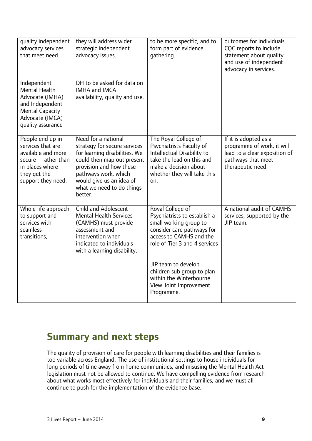| quality independent<br>advocacy services<br>that meet need.<br>Independent<br><b>Mental Health</b><br>Advocate (IMHA)<br>and Independent<br><b>Mental Capacity</b><br>Advocate (IMCA)<br>quality assurance | they will address wider<br>strategic independent<br>advocacy issues.<br>DH to be asked for data on<br><b>IMHA and IMCA</b><br>availability, quality and use.                                                                              | to be more specific, and to<br>form part of evidence<br>gathering.                                                                                                                                                                                                                           | outcomes for individuals.<br>CQC reports to include<br>statement about quality<br>and use of independent<br>advocacy in services. |
|------------------------------------------------------------------------------------------------------------------------------------------------------------------------------------------------------------|-------------------------------------------------------------------------------------------------------------------------------------------------------------------------------------------------------------------------------------------|----------------------------------------------------------------------------------------------------------------------------------------------------------------------------------------------------------------------------------------------------------------------------------------------|-----------------------------------------------------------------------------------------------------------------------------------|
| People end up in<br>services that are<br>available and more<br>$secure - rather than$<br>in places where<br>they get the<br>support they need.                                                             | Need for a national<br>strategy for secure services<br>for learning disabilities. We<br>could then map out present<br>provision and how these<br>pathways work, which<br>would give us an idea of<br>what we need to do things<br>better. | The Royal College of<br>Psychiatrists Faculty of<br>Intellectual Disability to<br>take the lead on this and<br>make a decision about<br>whether they will take this<br>on.                                                                                                                   | If it is adopted as a<br>programme of work, it will<br>lead to a clear exposition of<br>pathways that meet<br>therapeutic need.   |
| Whole life approach<br>to support and<br>services with<br>seamless<br>transitions,                                                                                                                         | Child and Adolescent<br><b>Mental Health Services</b><br>(CAMHS) must provide<br>assessment and<br>intervention when<br>indicated to individuals<br>with a learning disability.                                                           | Royal College of<br>Psychiatrists to establish a<br>small working group to<br>consider care pathways for<br>access to CAMHS and the<br>role of Tier 3 and 4 services<br>JIP team to develop<br>children sub group to plan<br>within the Winterbourne<br>View Joint Improvement<br>Programme. | A national audit of CAMHS<br>services, supported by the<br>JIP team.                                                              |

### **Summary and next steps**

The quality of provision of care for people with learning disabilities and their families is too variable across England. The use of institutional settings to house individuals for long periods of time away from home communities, and misusing the Mental Health Act legislation must not be allowed to continue. We have compelling evidence from research about what works most effectively for individuals and their families, and we must all continue to push for the implementation of the evidence base.